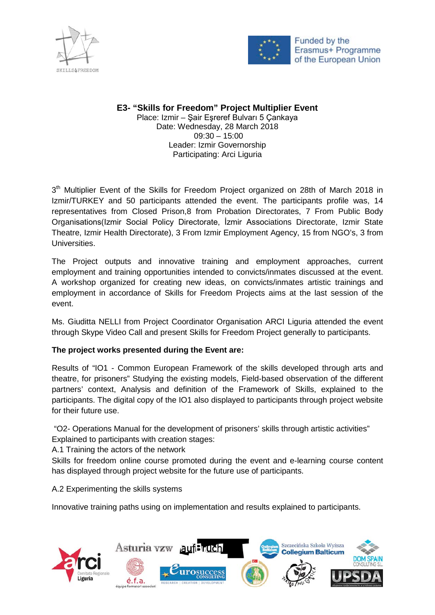



## **E3- "Skills for Freedom" Project Multiplier Event** Place: Izmir – Şair Eşreref Bulvarı 5 Çankaya Date: Wednesday, 28 March 2018  $09:30 - 15:00$ Leader: Izmir Governorship Participating: Arci Liguria

 $3<sup>th</sup>$  Multiplier Event of the Skills for Freedom Project organized on 28th of March 2018 in Izmir/TURKEY and 50 participants attended the event. The participants profile was, 14 representatives from Closed Prison,8 from Probation Directorates, 7 From Public Body Organisations(Izmir Social Policy Directorate, İzmir Associations Directorate, Izmir State Theatre, Izmir Health Directorate), 3 From Izmir Employment Agency, 15 from NGO's, 3 from Universities.

The Project outputs and innovative training and employment approaches, current employment and training opportunities intended to convicts/inmates discussed at the event. A workshop organized for creating new ideas, on convicts/inmates artistic trainings and employment in accordance of Skills for Freedom Projects aims at the last session of the event.

Ms. Giuditta NELLI from Project Coordinator Organisation ARCI Liguria attended the event through Skype Video Call and present Skills for Freedom Project generally to participants.

## **The project works presented during the Event are:**

Results of "IO1 - Common European Framework of the skills developed through arts and theatre, for prisoners" Studying the existing models, Field-based observation of the different partners' context, Analysis and definition of the Framework of Skills, explained to the participants. The digital copy of the IO1 also displayed to participants through project website for their future use.

"O2- Operations Manual for the development of prisoners' skills through artistic activities" Explained to participants with creation stages:

A.1 Training the actors of the network

Skills for freedom online course promoted during the event and e-learning course content has displayed through project website for the future use of participants.

A.2 Experimenting the skills systems

Innovative training paths using on implementation and results explained to participants.